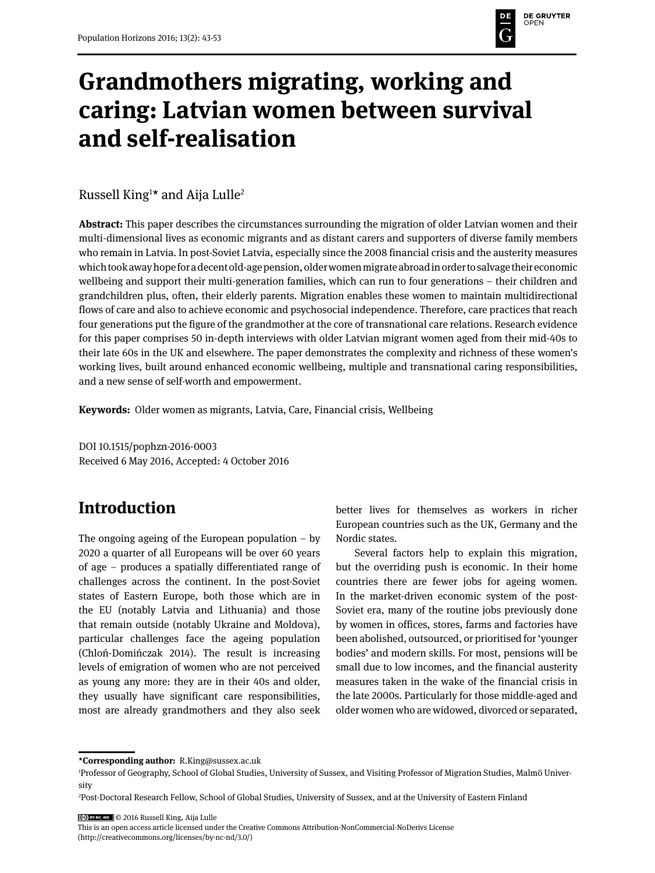# **DE GRUYTER** DE

# **Grandmothers migrating, working and caring: Latvian women between survival and self-realisation**

Russell King<sup>1</sup>\* and Aija Lulle<sup>2</sup>

**Abstract:** This paper describes the circumstances surrounding the migration of older Latvian women and their multi-dimensional lives as economic migrants and as distant carers and supporters of diverse family members who remain in Latvia. In post-Soviet Latvia, especially since the 2008 financial crisis and the austerity measures which took away hope for a decent old-age pension, older women migrate abroad in order to salvage their economic wellbeing and support their multi-generation families, which can run to four generations – their children and grandchildren plus, often, their elderly parents. Migration enables these women to maintain multidirectional flows of care and also to achieve economic and psychosocial independence. Therefore, care practices that reach four generations put the figure of the grandmother at the core of transnational care relations. Research evidence for this paper comprises 50 in-depth interviews with older Latvian migrant women aged from their mid-40s to their late 60s in the UK and elsewhere. The paper demonstrates the complexity and richness of these women's working lives, built around enhanced economic wellbeing, multiple and transnational caring responsibilities, and a new sense of self-worth and empowerment.

**Keywords:** Older women as migrants, Latvia, Care, Financial crisis, Wellbeing

DOI 10.1515/pophzn-2016-0003 Received 6 May 2016, Accepted: 4 October 2016

### **Introduction**

The ongoing ageing of the European population  $-$  by 2020 a quarter of all Europeans will be over 60 years of age – produces a spatially differentiated range of challenges across the continent. In the post-Soviet states of Eastern Europe, both those which are in the EU (notably Latvia and Lithuania) and those that remain outside (notably Ukraine and Moldova), particular challenges face the ageing population (Chloń-Domińczak 2014). The result is increasing levels of emigration of women who are not perceived as young any more: they are in their 40s and older, they usually have significant care responsibilities, most are already grandmothers and they also seek better lives for themselves as workers in richer European countries such as the UK, Germany and the Nordic states.

Several factors help to explain this migration, but the overriding push is economic. In their home countries there are fewer jobs for ageing women. In the market-driven economic system of the post-Soviet era, many of the routine jobs previously done by women in offices, stores, farms and factories have been abolished, outsourced, or prioritised for 'younger bodies' and modern skills. For most, pensions will be small due to low incomes, and the financial austerity measures taken in the wake of the financial crisis in the late 2000s. Particularly for those middle-aged and older women who are widowed, divorced or separated,

© 2016 Russell King, Aija Lulle

This is an open access article licensed under the Creative Commons Attribution-NonCommercial-NoDerivs License (http://creativecommons.org/licenses/by-nc-nd/3.0/)

**<sup>\*</sup>Corresponding author:** R.King@sussex.ac.uk

<sup>1</sup> Professor of Geography, School of Global Studies, University of Sussex, and Visiting Professor of Migration Studies, Malmö University

<sup>2</sup> Post-Doctoral Research Fellow, School of Global Studies, University of Sussex, and at the University of Eastern Finland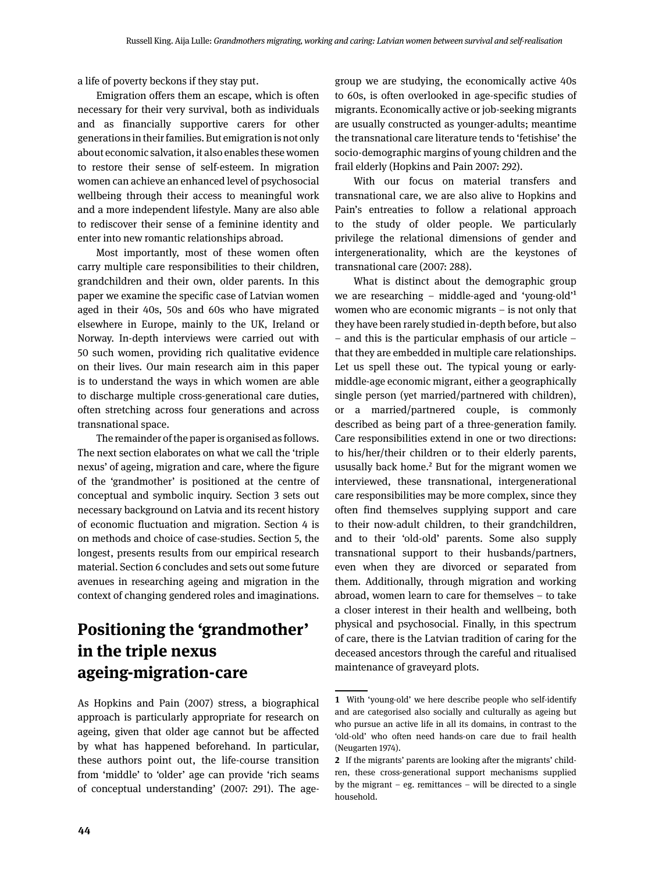a life of poverty beckons if they stay put.

Emigration offers them an escape, which is often necessary for their very survival, both as individuals and as financially supportive carers for other generations in their families. But emigration is not only about economic salvation, it also enables these women to restore their sense of self-esteem. In migration women can achieve an enhanced level of psychosocial wellbeing through their access to meaningful work and a more independent lifestyle. Many are also able to rediscover their sense of a feminine identity and enter into new romantic relationships abroad.

Most importantly, most of these women often carry multiple care responsibilities to their children, grandchildren and their own, older parents. In this paper we examine the specific case of Latvian women aged in their 40s, 50s and 60s who have migrated elsewhere in Europe, mainly to the UK, Ireland or Norway. In-depth interviews were carried out with 50 such women, providing rich qualitative evidence on their lives. Our main research aim in this paper is to understand the ways in which women are able to discharge multiple cross-generational care duties, often stretching across four generations and across transnational space.

The remainder of the paper is organised as follows. The next section elaborates on what we call the 'triple nexus' of ageing, migration and care, where the figure of the 'grandmother' is positioned at the centre of conceptual and symbolic inquiry. Section 3 sets out necessary background on Latvia and its recent history of economic fluctuation and migration. Section 4 is on methods and choice of case-studies. Section 5, the longest, presents results from our empirical research material. Section 6 concludes and sets out some future avenues in researching ageing and migration in the context of changing gendered roles and imaginations.

# **Positioning the 'grandmother' in the triple nexus ageing-migration-care**

As Hopkins and Pain (2007) stress, a biographical approach is particularly appropriate for research on ageing, given that older age cannot but be affected by what has happened beforehand. In particular, these authors point out, the life-course transition from 'middle' to 'older' age can provide 'rich seams of conceptual understanding' (2007: 291). The agegroup we are studying, the economically active 40s to 60s, is often overlooked in age-specific studies of migrants. Economically active or job-seeking migrants are usually constructed as younger-adults; meantime the transnational care literature tends to 'fetishise' the socio-demographic margins of young children and the frail elderly (Hopkins and Pain 2007: 292).

With our focus on material transfers and transnational care, we are also alive to Hopkins and Pain's entreaties to follow a relational approach to the study of older people. We particularly privilege the relational dimensions of gender and intergenerationality, which are the keystones of transnational care (2007: 288).

What is distinct about the demographic group we are researching – middle-aged and 'young-old'1 women who are economic migrants – is not only that they have been rarely studied in-depth before, but also – and this is the particular emphasis of our article – that they are embedded in multiple care relationships. Let us spell these out. The typical young or earlymiddle-age economic migrant, either a geographically single person (yet married/partnered with children), or a married/partnered couple, is commonly described as being part of a three-generation family. Care responsibilities extend in one or two directions: to his/her/their children or to their elderly parents, ususally back home.<sup>2</sup> But for the migrant women we interviewed, these transnational, intergenerational care responsibilities may be more complex, since they often find themselves supplying support and care to their now-adult children, to their grandchildren, and to their 'old-old' parents. Some also supply transnational support to their husbands/partners, even when they are divorced or separated from them. Additionally, through migration and working abroad, women learn to care for themselves – to take a closer interest in their health and wellbeing, both physical and psychosocial. Finally, in this spectrum of care, there is the Latvian tradition of caring for the deceased ancestors through the careful and ritualised maintenance of graveyard plots.

**<sup>1</sup>** With 'young-old' we here describe people who self-identify and are categorised also socially and culturally as ageing but who pursue an active life in all its domains, in contrast to the 'old-old' who often need hands-on care due to frail health (Neugarten 1974).

**<sup>2</sup>** If the migrants' parents are looking after the migrants' children, these cross-generational support mechanisms supplied by the migrant – eg. remittances – will be directed to a single household.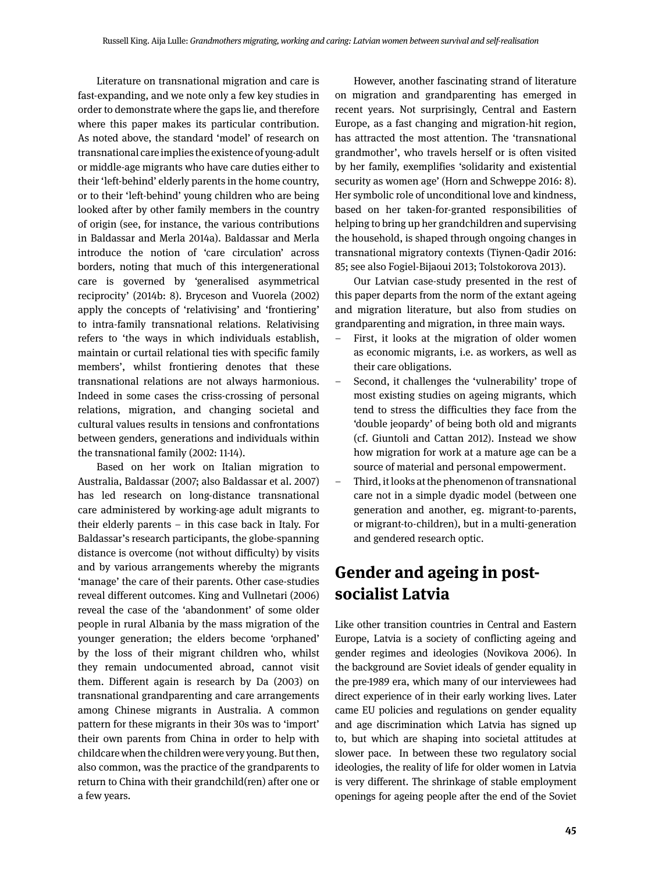Literature on transnational migration and care is fast-expanding, and we note only a few key studies in order to demonstrate where the gaps lie, and therefore where this paper makes its particular contribution. As noted above, the standard 'model' of research on transnational care implies the existence of young-adult or middle-age migrants who have care duties either to their 'left-behind' elderly parents in the home country, or to their 'left-behind' young children who are being looked after by other family members in the country of origin (see, for instance, the various contributions in Baldassar and Merla 2014a). Baldassar and Merla introduce the notion of 'care circulation' across borders, noting that much of this intergenerational care is governed by 'generalised asymmetrical reciprocity' (2014b: 8). Bryceson and Vuorela (2002) apply the concepts of 'relativising' and 'frontiering' to intra-family transnational relations. Relativising refers to 'the ways in which individuals establish, maintain or curtail relational ties with specific family members', whilst frontiering denotes that these transnational relations are not always harmonious. Indeed in some cases the criss-crossing of personal relations, migration, and changing societal and cultural values results in tensions and confrontations between genders, generations and individuals within the transnational family (2002: 11-14).

Based on her work on Italian migration to Australia, Baldassar (2007; also Baldassar et al. 2007) has led research on long-distance transnational care administered by working-age adult migrants to their elderly parents – in this case back in Italy. For Baldassar's research participants, the globe-spanning distance is overcome (not without difficulty) by visits and by various arrangements whereby the migrants 'manage' the care of their parents. Other case-studies reveal different outcomes. King and Vullnetari (2006) reveal the case of the 'abandonment' of some older people in rural Albania by the mass migration of the younger generation; the elders become 'orphaned' by the loss of their migrant children who, whilst they remain undocumented abroad, cannot visit them. Different again is research by Da (2003) on transnational grandparenting and care arrangements among Chinese migrants in Australia. A common pattern for these migrants in their 30s was to 'import' their own parents from China in order to help with childcare when the children were very young. But then, also common, was the practice of the grandparents to return to China with their grandchild(ren) after one or a few years.

However, another fascinating strand of literature on migration and grandparenting has emerged in recent years. Not surprisingly, Central and Eastern Europe, as a fast changing and migration-hit region, has attracted the most attention. The 'transnational grandmother', who travels herself or is often visited by her family, exemplifies 'solidarity and existential security as women age' (Horn and Schweppe 2016: 8). Her symbolic role of unconditional love and kindness, based on her taken-for-granted responsibilities of helping to bring up her grandchildren and supervising the household, is shaped through ongoing changes in transnational migratory contexts (Tiynen-Qadir 2016: 85; see also Fogiel-Bijaoui 2013; Tolstokorova 2013).

Our Latvian case-study presented in the rest of this paper departs from the norm of the extant ageing and migration literature, but also from studies on grandparenting and migration, in three main ways.

- First, it looks at the migration of older women as economic migrants, i.e. as workers, as well as their care obligations.
- Second, it challenges the 'vulnerability' trope of most existing studies on ageing migrants, which tend to stress the difficulties they face from the 'double jeopardy' of being both old and migrants (cf. Giuntoli and Cattan 2012). Instead we show how migration for work at a mature age can be a source of material and personal empowerment.
- Third, it looks at the phenomenon of transnational care not in a simple dyadic model (between one generation and another, eg. migrant-to-parents, or migrant-to-children), but in a multi-generation and gendered research optic.

# **Gender and ageing in postsocialist Latvia**

Like other transition countries in Central and Eastern Europe, Latvia is a society of conflicting ageing and gender regimes and ideologies (Novikova 2006). In the background are Soviet ideals of gender equality in the pre-1989 era, which many of our interviewees had direct experience of in their early working lives. Later came EU policies and regulations on gender equality and age discrimination which Latvia has signed up to, but which are shaping into societal attitudes at slower pace. In between these two regulatory social ideologies, the reality of life for older women in Latvia is very different. The shrinkage of stable employment openings for ageing people after the end of the Soviet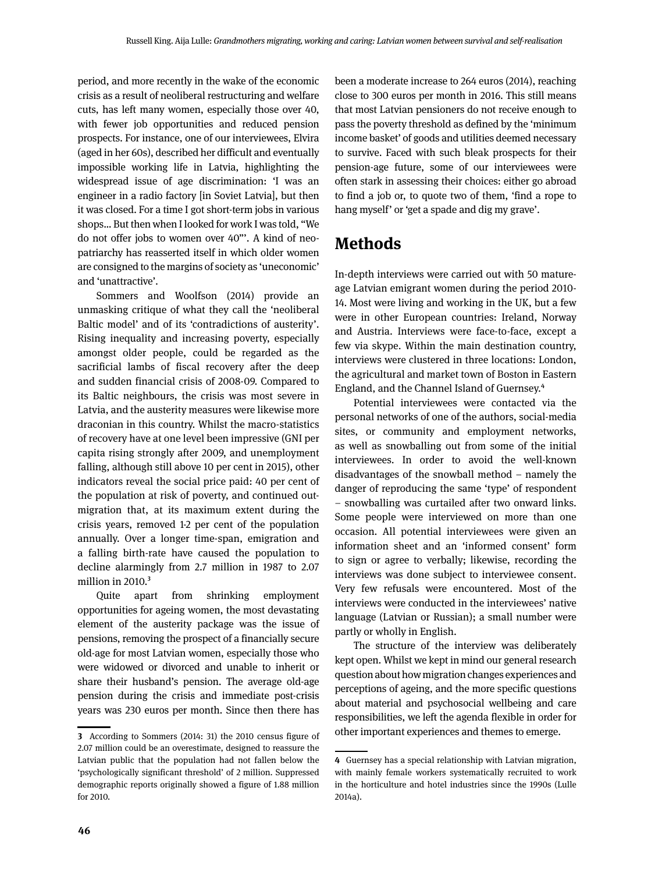period, and more recently in the wake of the economic crisis as a result of neoliberal restructuring and welfare cuts, has left many women, especially those over 40, with fewer job opportunities and reduced pension prospects. For instance, one of our interviewees, Elvira (aged in her 60s), described her difficult and eventually impossible working life in Latvia, highlighting the widespread issue of age discrimination: 'I was an engineer in a radio factory [in Soviet Latvia], but then it was closed. For a time I got short-term jobs in various shops… But then when I looked for work I was told, "We do not offer jobs to women over 40"'. A kind of neopatriarchy has reasserted itself in which older women are consigned to the margins of society as 'uneconomic' and 'unattractive'.

Sommers and Woolfson (2014) provide an unmasking critique of what they call the 'neoliberal Baltic model' and of its 'contradictions of austerity'. Rising inequality and increasing poverty, especially amongst older people, could be regarded as the sacrificial lambs of fiscal recovery after the deep and sudden financial crisis of 2008-09. Compared to its Baltic neighbours, the crisis was most severe in Latvia, and the austerity measures were likewise more draconian in this country. Whilst the macro-statistics of recovery have at one level been impressive (GNI per capita rising strongly after 2009, and unemployment falling, although still above 10 per cent in 2015), other indicators reveal the social price paid: 40 per cent of the population at risk of poverty, and continued outmigration that, at its maximum extent during the crisis years, removed 1-2 per cent of the population annually. Over a longer time-span, emigration and a falling birth-rate have caused the population to decline alarmingly from 2.7 million in 1987 to 2.07 million in 2010.<sup>3</sup>

Quite apart from shrinking employment opportunities for ageing women, the most devastating element of the austerity package was the issue of pensions, removing the prospect of a financially secure old-age for most Latvian women, especially those who were widowed or divorced and unable to inherit or share their husband's pension. The average old-age pension during the crisis and immediate post-crisis years was 230 euros per month. Since then there has been a moderate increase to 264 euros (2014), reaching close to 300 euros per month in 2016. This still means that most Latvian pensioners do not receive enough to pass the poverty threshold as defined by the 'minimum income basket' of goods and utilities deemed necessary to survive. Faced with such bleak prospects for their pension-age future, some of our interviewees were often stark in assessing their choices: either go abroad to find a job or, to quote two of them, 'find a rope to hang myself' or 'get a spade and dig my grave'.

### **Methods**

In-depth interviews were carried out with 50 matureage Latvian emigrant women during the period 2010- 14. Most were living and working in the UK, but a few were in other European countries: Ireland, Norway and Austria. Interviews were face-to-face, except a few via skype. Within the main destination country, interviews were clustered in three locations: London, the agricultural and market town of Boston in Eastern England, and the Channel Island of Guernsey.4

Potential interviewees were contacted via the personal networks of one of the authors, social-media sites, or community and employment networks, as well as snowballing out from some of the initial interviewees. In order to avoid the well-known disadvantages of the snowball method – namely the danger of reproducing the same 'type' of respondent – snowballing was curtailed after two onward links. Some people were interviewed on more than one occasion. All potential interviewees were given an information sheet and an 'informed consent' form to sign or agree to verbally; likewise, recording the interviews was done subject to interviewee consent. Very few refusals were encountered. Most of the interviews were conducted in the interviewees' native language (Latvian or Russian); a small number were partly or wholly in English.

The structure of the interview was deliberately kept open. Whilst we kept in mind our general research question about how migration changes experiences and perceptions of ageing, and the more specific questions about material and psychosocial wellbeing and care responsibilities, we left the agenda flexible in order for other important experiences and themes to emerge.

**<sup>3</sup>** According to Sommers (2014: 31) the 2010 census figure of 2.07 million could be an overestimate, designed to reassure the Latvian public that the population had not fallen below the 'psychologically significant threshold' of 2 million. Suppressed demographic reports originally showed a figure of 1.88 million for 2010.

**<sup>4</sup>** Guernsey has a special relationship with Latvian migration, with mainly female workers systematically recruited to work in the horticulture and hotel industries since the 1990s (Lulle 2014a).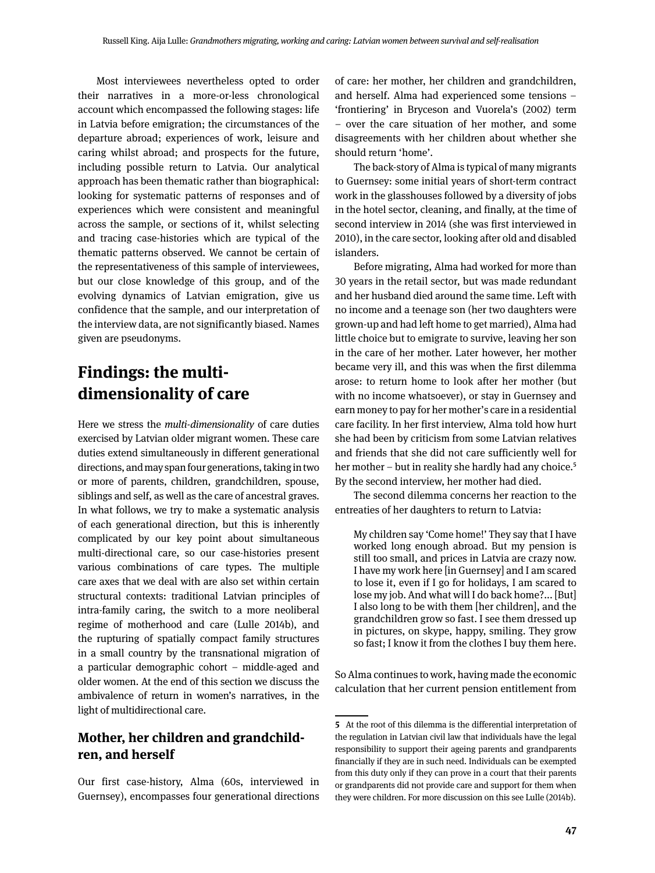Most interviewees nevertheless opted to order their narratives in a more-or-less chronological account which encompassed the following stages: life in Latvia before emigration; the circumstances of the departure abroad; experiences of work, leisure and caring whilst abroad; and prospects for the future, including possible return to Latvia. Our analytical approach has been thematic rather than biographical: looking for systematic patterns of responses and of experiences which were consistent and meaningful across the sample, or sections of it, whilst selecting and tracing case-histories which are typical of the thematic patterns observed. We cannot be certain of the representativeness of this sample of interviewees, but our close knowledge of this group, and of the evolving dynamics of Latvian emigration, give us confidence that the sample, and our interpretation of the interview data, are not significantly biased. Names given are pseudonyms.

# **Findings: the multidimensionality of care**

Here we stress the *multi-dimensionality* of care duties exercised by Latvian older migrant women. These care duties extend simultaneously in different generational directions, and may span four generations, taking in two or more of parents, children, grandchildren, spouse, siblings and self, as well as the care of ancestral graves. In what follows, we try to make a systematic analysis of each generational direction, but this is inherently complicated by our key point about simultaneous multi-directional care, so our case-histories present various combinations of care types. The multiple care axes that we deal with are also set within certain structural contexts: traditional Latvian principles of intra-family caring, the switch to a more neoliberal regime of motherhood and care (Lulle 2014b), and the rupturing of spatially compact family structures in a small country by the transnational migration of a particular demographic cohort – middle-aged and older women. At the end of this section we discuss the ambivalence of return in women's narratives, in the light of multidirectional care.

#### **Mother, her children and grandchildren, and herself**

Our first case-history, Alma (60s, interviewed in Guernsey), encompasses four generational directions of care: her mother, her children and grandchildren, and herself. Alma had experienced some tensions – 'frontiering' in Bryceson and Vuorela's (2002) term – over the care situation of her mother, and some disagreements with her children about whether she should return 'home'.

The back-story of Alma is typical of many migrants to Guernsey: some initial years of short-term contract work in the glasshouses followed by a diversity of jobs in the hotel sector, cleaning, and finally, at the time of second interview in 2014 (she was first interviewed in 2010), in the care sector, looking after old and disabled islanders.

Before migrating, Alma had worked for more than 30 years in the retail sector, but was made redundant and her husband died around the same time. Left with no income and a teenage son (her two daughters were grown-up and had left home to get married), Alma had little choice but to emigrate to survive, leaving her son in the care of her mother. Later however, her mother became very ill, and this was when the first dilemma arose: to return home to look after her mother (but with no income whatsoever), or stay in Guernsey and earn money to pay for her mother's care in a residential care facility. In her first interview, Alma told how hurt she had been by criticism from some Latvian relatives and friends that she did not care sufficiently well for her mother – but in reality she hardly had any choice.<sup>5</sup> By the second interview, her mother had died.

The second dilemma concerns her reaction to the entreaties of her daughters to return to Latvia:

My children say 'Come home!' They say that I have worked long enough abroad. But my pension is still too small, and prices in Latvia are crazy now. I have my work here [in Guernsey] and I am scared to lose it, even if I go for holidays, I am scared to lose my job. And what will I do back home?... [But] I also long to be with them [her children], and the grandchildren grow so fast. I see them dressed up in pictures, on skype, happy, smiling. They grow so fast; I know it from the clothes I buy them here.

So Alma continues to work, having made the economic calculation that her current pension entitlement from

**<sup>5</sup>** At the root of this dilemma is the differential interpretation of the regulation in Latvian civil law that individuals have the legal responsibility to support their ageing parents and grandparents financially if they are in such need. Individuals can be exempted from this duty only if they can prove in a court that their parents or grandparents did not provide care and support for them when they were children. For more discussion on this see Lulle (2014b).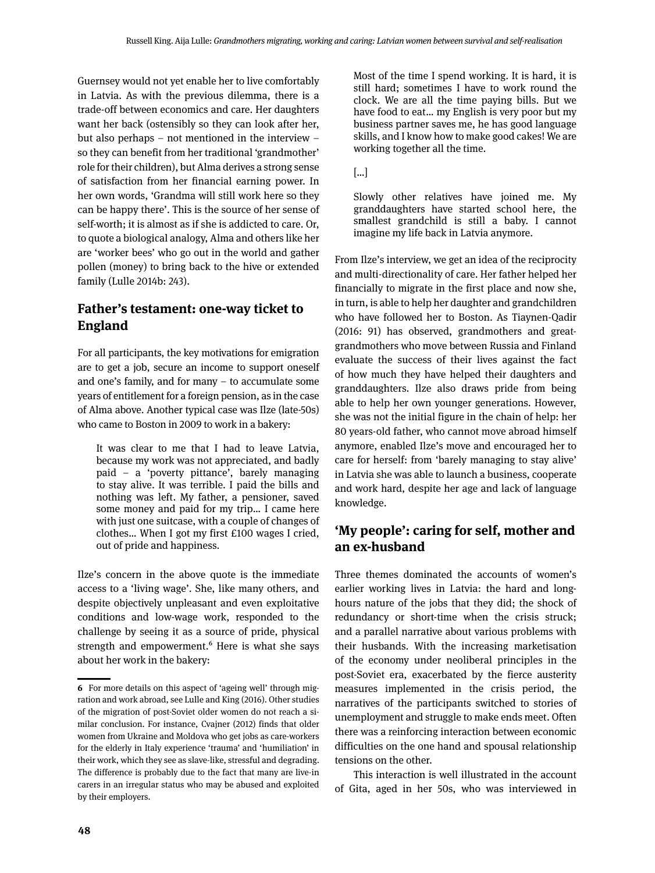Guernsey would not yet enable her to live comfortably in Latvia. As with the previous dilemma, there is a trade-off between economics and care. Her daughters want her back (ostensibly so they can look after her, but also perhaps – not mentioned in the interview – so they can benefit from her traditional 'grandmother' role for their children), but Alma derives a strong sense of satisfaction from her financial earning power. In her own words, 'Grandma will still work here so they can be happy there'. This is the source of her sense of self-worth; it is almost as if she is addicted to care. Or, to quote a biological analogy, Alma and others like her are 'worker bees' who go out in the world and gather pollen (money) to bring back to the hive or extended family (Lulle 2014b: 243).

### **Father's testament: one-way ticket to England**

For all participants, the key motivations for emigration are to get a job, secure an income to support oneself and one's family, and for many – to accumulate some years of entitlement for a foreign pension, as in the case of Alma above. Another typical case was Ilze (late-50s) who came to Boston in 2009 to work in a bakery:

It was clear to me that I had to leave Latvia, because my work was not appreciated, and badly paid – a 'poverty pittance', barely managing to stay alive. It was terrible. I paid the bills and nothing was left. My father, a pensioner, saved some money and paid for my trip… I came here with just one suitcase, with a couple of changes of clothes… When I got my first £100 wages I cried, out of pride and happiness.

Ilze's concern in the above quote is the immediate access to a 'living wage'. She, like many others, and despite objectively unpleasant and even exploitative conditions and low-wage work, responded to the challenge by seeing it as a source of pride, physical strength and empowerment.<sup>6</sup> Here is what she says about her work in the bakery:

Most of the time I spend working. It is hard, it is still hard; sometimes I have to work round the clock. We are all the time paying bills. But we have food to eat… my English is very poor but my business partner saves me, he has good language skills, and I know how to make good cakes! We are working together all the time.

[…]

Slowly other relatives have joined me. My granddaughters have started school here, the smallest grandchild is still a baby. I cannot imagine my life back in Latvia anymore.

From Ilze's interview, we get an idea of the reciprocity and multi-directionality of care. Her father helped her financially to migrate in the first place and now she, in turn, is able to help her daughter and grandchildren who have followed her to Boston. As Tiaynen-Qadir (2016: 91) has observed, grandmothers and greatgrandmothers who move between Russia and Finland evaluate the success of their lives against the fact of how much they have helped their daughters and granddaughters. Ilze also draws pride from being able to help her own younger generations. However, she was not the initial figure in the chain of help: her 80 years-old father, who cannot move abroad himself anymore, enabled Ilze's move and encouraged her to care for herself: from 'barely managing to stay alive' in Latvia she was able to launch a business, cooperate and work hard, despite her age and lack of language knowledge.

### **'My people': caring for self, mother and an ex-husband**

Three themes dominated the accounts of women's earlier working lives in Latvia: the hard and longhours nature of the jobs that they did; the shock of redundancy or short-time when the crisis struck; and a parallel narrative about various problems with their husbands. With the increasing marketisation of the economy under neoliberal principles in the post-Soviet era, exacerbated by the fierce austerity measures implemented in the crisis period, the narratives of the participants switched to stories of unemployment and struggle to make ends meet. Often there was a reinforcing interaction between economic difficulties on the one hand and spousal relationship tensions on the other.

This interaction is well illustrated in the account of Gita, aged in her 50s, who was interviewed in

**<sup>6</sup>** For more details on this aspect of 'ageing well' through migration and work abroad, see Lulle and King (2016). Other studies of the migration of post-Soviet older women do not reach a similar conclusion. For instance, Cvajner (2012) finds that older women from Ukraine and Moldova who get jobs as care-workers for the elderly in Italy experience 'trauma' and 'humiliation' in their work, which they see as slave-like, stressful and degrading. The difference is probably due to the fact that many are live-in carers in an irregular status who may be abused and exploited by their employers.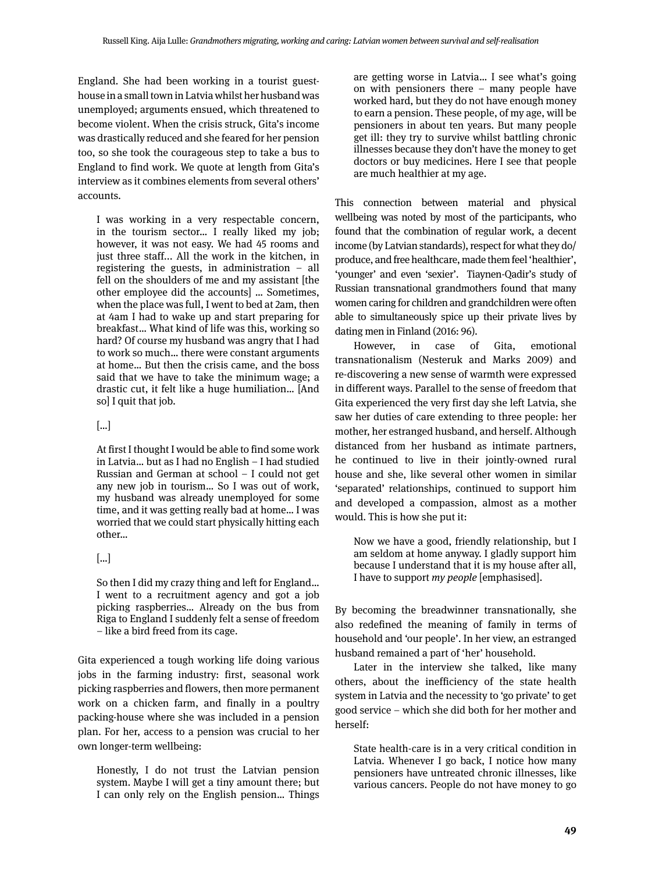England. She had been working in a tourist guesthouse in a small town in Latvia whilst her husband was unemployed; arguments ensued, which threatened to become violent. When the crisis struck, Gita's income was drastically reduced and she feared for her pension too, so she took the courageous step to take a bus to England to find work. We quote at length from Gita's interview as it combines elements from several others' accounts.

I was working in a very respectable concern, in the tourism sector… I really liked my job; however, it was not easy. We had 45 rooms and just three staff... All the work in the kitchen, in registering the guests, in administration – all fell on the shoulders of me and my assistant [the other employee did the accounts] … Sometimes, when the place was full, I went to bed at 2am, then at 4am I had to wake up and start preparing for breakfast… What kind of life was this, working so hard? Of course my husband was angry that I had to work so much… there were constant arguments at home… But then the crisis came, and the boss said that we have to take the minimum wage; a drastic cut, it felt like a huge humiliation… [And so] I quit that job.

#### […]

At first I thought I would be able to find some work in Latvia… but as I had no English – I had studied Russian and German at school – I could not get any new job in tourism… So I was out of work, my husband was already unemployed for some time, and it was getting really bad at home… I was worried that we could start physically hitting each other…

#### […]

So then I did my crazy thing and left for England… I went to a recruitment agency and got a job picking raspberries… Already on the bus from Riga to England I suddenly felt a sense of freedom – like a bird freed from its cage.

Gita experienced a tough working life doing various jobs in the farming industry: first, seasonal work picking raspberries and flowers, then more permanent work on a chicken farm, and finally in a poultry packing-house where she was included in a pension plan. For her, access to a pension was crucial to her own longer-term wellbeing:

Honestly, I do not trust the Latvian pension system. Maybe I will get a tiny amount there; but I can only rely on the English pension… Things are getting worse in Latvia… I see what's going on with pensioners there – many people have worked hard, but they do not have enough money to earn a pension. These people, of my age, will be pensioners in about ten years. But many people get ill: they try to survive whilst battling chronic illnesses because they don't have the money to get doctors or buy medicines. Here I see that people are much healthier at my age.

This connection between material and physical wellbeing was noted by most of the participants, who found that the combination of regular work, a decent income (by Latvian standards), respect for what they do/ produce, and free healthcare, made them feel 'healthier', 'younger' and even 'sexier'. Tiaynen-Qadir's study of Russian transnational grandmothers found that many women caring for children and grandchildren were often able to simultaneously spice up their private lives by dating men in Finland (2016: 96).

However, in case of Gita, emotional transnationalism (Nesteruk and Marks 2009) and re-discovering a new sense of warmth were expressed in different ways. Parallel to the sense of freedom that Gita experienced the very first day she left Latvia, she saw her duties of care extending to three people: her mother, her estranged husband, and herself. Although distanced from her husband as intimate partners, he continued to live in their jointly-owned rural house and she, like several other women in similar 'separated' relationships, continued to support him and developed a compassion, almost as a mother would. This is how she put it:

Now we have a good, friendly relationship, but I am seldom at home anyway. I gladly support him because I understand that it is my house after all, I have to support *my people* [emphasised].

By becoming the breadwinner transnationally, she also redefined the meaning of family in terms of household and 'our people'. In her view, an estranged husband remained a part of 'her' household.

Later in the interview she talked, like many others, about the inefficiency of the state health system in Latvia and the necessity to 'go private' to get good service – which she did both for her mother and herself:

State health-care is in a very critical condition in Latvia. Whenever I go back, I notice how many pensioners have untreated chronic illnesses, like various cancers. People do not have money to go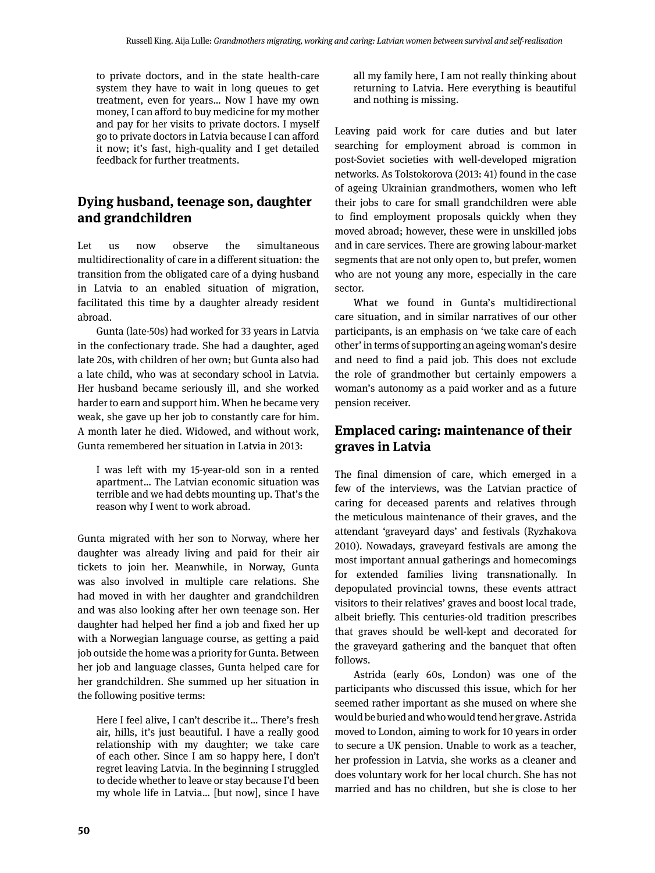to private doctors, and in the state health-care system they have to wait in long queues to get treatment, even for years… Now I have my own money, I can afford to buy medicine for my mother and pay for her visits to private doctors. I myself go to private doctors in Latvia because I can afford it now; it's fast, high-quality and I get detailed feedback for further treatments.

### **Dying husband, teenage son, daughter and grandchildren**

Let us now observe the simultaneous multidirectionality of care in a different situation: the transition from the obligated care of a dying husband in Latvia to an enabled situation of migration, facilitated this time by a daughter already resident abroad.

Gunta (late-50s) had worked for 33 years in Latvia in the confectionary trade. She had a daughter, aged late 20s, with children of her own; but Gunta also had a late child, who was at secondary school in Latvia. Her husband became seriously ill, and she worked harder to earn and support him. When he became very weak, she gave up her job to constantly care for him. A month later he died. Widowed, and without work, Gunta remembered her situation in Latvia in 2013:

I was left with my 15-year-old son in a rented apartment… The Latvian economic situation was terrible and we had debts mounting up. That's the reason why I went to work abroad.

Gunta migrated with her son to Norway, where her daughter was already living and paid for their air tickets to join her. Meanwhile, in Norway, Gunta was also involved in multiple care relations. She had moved in with her daughter and grandchildren and was also looking after her own teenage son. Her daughter had helped her find a job and fixed her up with a Norwegian language course, as getting a paid job outside the home was a priority for Gunta. Between her job and language classes, Gunta helped care for her grandchildren. She summed up her situation in the following positive terms:

Here I feel alive, I can't describe it… There's fresh air, hills, it's just beautiful. I have a really good relationship with my daughter; we take care of each other. Since I am so happy here, I don't regret leaving Latvia. In the beginning I struggled to decide whether to leave or stay because I'd been my whole life in Latvia… [but now], since I have all my family here, I am not really thinking about returning to Latvia. Here everything is beautiful and nothing is missing.

Leaving paid work for care duties and but later searching for employment abroad is common in post-Soviet societies with well-developed migration networks. As Tolstokorova (2013: 41) found in the case of ageing Ukrainian grandmothers, women who left their jobs to care for small grandchildren were able to find employment proposals quickly when they moved abroad; however, these were in unskilled jobs and in care services. There are growing labour-market segments that are not only open to, but prefer, women who are not young any more, especially in the care sector.

What we found in Gunta's multidirectional care situation, and in similar narratives of our other participants, is an emphasis on 'we take care of each other' in terms of supporting an ageing woman's desire and need to find a paid job. This does not exclude the role of grandmother but certainly empowers a woman's autonomy as a paid worker and as a future pension receiver.

### **Emplaced caring: maintenance of their graves in Latvia**

The final dimension of care, which emerged in a few of the interviews, was the Latvian practice of caring for deceased parents and relatives through the meticulous maintenance of their graves, and the attendant 'graveyard days' and festivals (Ryzhakova 2010). Nowadays, graveyard festivals are among the most important annual gatherings and homecomings for extended families living transnationally. In depopulated provincial towns, these events attract visitors to their relatives' graves and boost local trade, albeit briefly. This centuries-old tradition prescribes that graves should be well-kept and decorated for the graveyard gathering and the banquet that often follows.

Astrida (early 60s, London) was one of the participants who discussed this issue, which for her seemed rather important as she mused on where she would be buried and who would tend her grave. Astrida moved to London, aiming to work for 10 years in order to secure a UK pension. Unable to work as a teacher, her profession in Latvia, she works as a cleaner and does voluntary work for her local church. She has not married and has no children, but she is close to her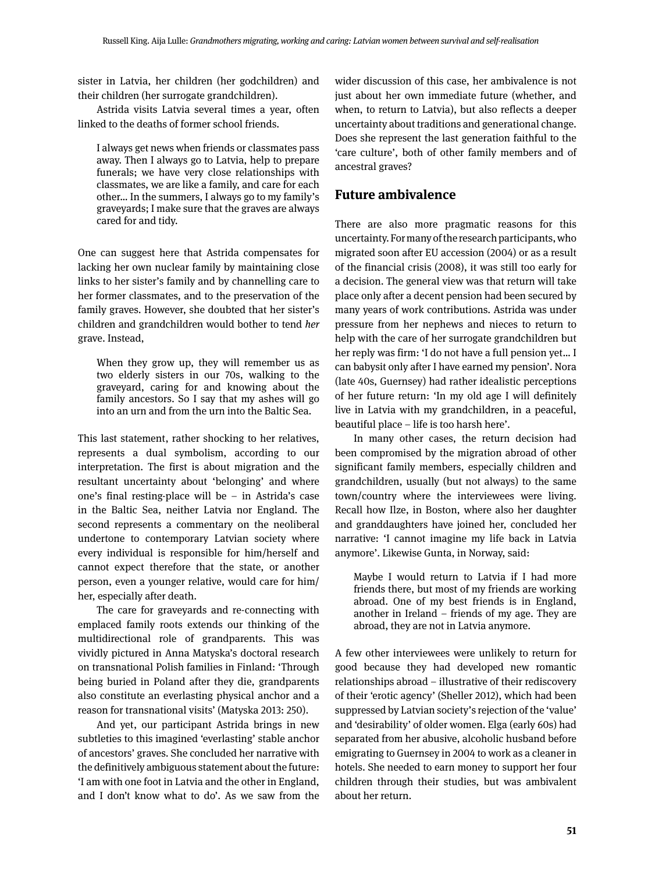sister in Latvia, her children (her godchildren) and their children (her surrogate grandchildren).

Astrida visits Latvia several times a year, often linked to the deaths of former school friends.

I always get news when friends or classmates pass away. Then I always go to Latvia, help to prepare funerals; we have very close relationships with classmates, we are like a family, and care for each other… In the summers, I always go to my family's graveyards; I make sure that the graves are always cared for and tidy.

One can suggest here that Astrida compensates for lacking her own nuclear family by maintaining close links to her sister's family and by channelling care to her former classmates, and to the preservation of the family graves. However, she doubted that her sister's children and grandchildren would bother to tend *her* grave. Instead,

When they grow up, they will remember us as two elderly sisters in our 70s, walking to the graveyard, caring for and knowing about the family ancestors. So I say that my ashes will go into an urn and from the urn into the Baltic Sea.

This last statement, rather shocking to her relatives, represents a dual symbolism, according to our interpretation. The first is about migration and the resultant uncertainty about 'belonging' and where one's final resting-place will be – in Astrida's case in the Baltic Sea, neither Latvia nor England. The second represents a commentary on the neoliberal undertone to contemporary Latvian society where every individual is responsible for him/herself and cannot expect therefore that the state, or another person, even a younger relative, would care for him/ her, especially after death.

The care for graveyards and re-connecting with emplaced family roots extends our thinking of the multidirectional role of grandparents. This was vividly pictured in Anna Matyska's doctoral research on transnational Polish families in Finland: 'Through being buried in Poland after they die, grandparents also constitute an everlasting physical anchor and a reason for transnational visits' (Matyska 2013: 250).

And yet, our participant Astrida brings in new subtleties to this imagined 'everlasting' stable anchor of ancestors' graves. She concluded her narrative with the definitively ambiguous statement about the future: 'I am with one foot in Latvia and the other in England, and I don't know what to do'. As we saw from the

wider discussion of this case, her ambivalence is not just about her own immediate future (whether, and when, to return to Latvia), but also reflects a deeper uncertainty about traditions and generational change. Does she represent the last generation faithful to the 'care culture', both of other family members and of ancestral graves?

#### **Future ambivalence**

There are also more pragmatic reasons for this uncertainty. For many of the research participants, who migrated soon after EU accession (2004) or as a result of the financial crisis (2008), it was still too early for a decision. The general view was that return will take place only after a decent pension had been secured by many years of work contributions. Astrida was under pressure from her nephews and nieces to return to help with the care of her surrogate grandchildren but her reply was firm: 'I do not have a full pension yet… I can babysit only after I have earned my pension'. Nora (late 40s, Guernsey) had rather idealistic perceptions of her future return: 'In my old age I will definitely live in Latvia with my grandchildren, in a peaceful, beautiful place – life is too harsh here'.

In many other cases, the return decision had been compromised by the migration abroad of other significant family members, especially children and grandchildren, usually (but not always) to the same town/country where the interviewees were living. Recall how Ilze, in Boston, where also her daughter and granddaughters have joined her, concluded her narrative: 'I cannot imagine my life back in Latvia anymore'. Likewise Gunta, in Norway, said:

Maybe I would return to Latvia if I had more friends there, but most of my friends are working abroad. One of my best friends is in England, another in Ireland – friends of my age. They are abroad, they are not in Latvia anymore.

A few other interviewees were unlikely to return for good because they had developed new romantic relationships abroad – illustrative of their rediscovery of their 'erotic agency' (Sheller 2012), which had been suppressed by Latvian society's rejection of the 'value' and 'desirability' of older women. Elga (early 60s) had separated from her abusive, alcoholic husband before emigrating to Guernsey in 2004 to work as a cleaner in hotels. She needed to earn money to support her four children through their studies, but was ambivalent about her return.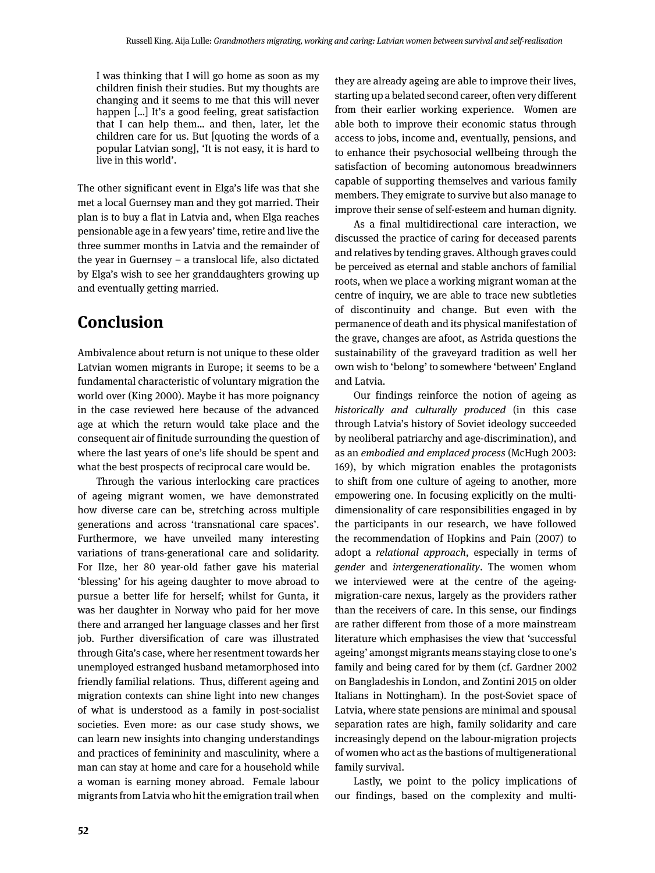I was thinking that I will go home as soon as my children finish their studies. But my thoughts are changing and it seems to me that this will never happen [...] It's a good feeling, great satisfaction that I can help them… and then, later, let the children care for us. But [quoting the words of a popular Latvian song], 'It is not easy, it is hard to live in this world'.

The other significant event in Elga's life was that she met a local Guernsey man and they got married. Their plan is to buy a flat in Latvia and, when Elga reaches pensionable age in a few years' time, retire and live the three summer months in Latvia and the remainder of the year in Guernsey – a translocal life, also dictated by Elga's wish to see her granddaughters growing up and eventually getting married.

### **Conclusion**

Ambivalence about return is not unique to these older Latvian women migrants in Europe; it seems to be a fundamental characteristic of voluntary migration the world over (King 2000). Maybe it has more poignancy in the case reviewed here because of the advanced age at which the return would take place and the consequent air of finitude surrounding the question of where the last years of one's life should be spent and what the best prospects of reciprocal care would be.

Through the various interlocking care practices of ageing migrant women, we have demonstrated how diverse care can be, stretching across multiple generations and across 'transnational care spaces'. Furthermore, we have unveiled many interesting variations of trans-generational care and solidarity. For Ilze, her 80 year-old father gave his material 'blessing' for his ageing daughter to move abroad to pursue a better life for herself; whilst for Gunta, it was her daughter in Norway who paid for her move there and arranged her language classes and her first job. Further diversification of care was illustrated through Gita's case, where her resentment towards her unemployed estranged husband metamorphosed into friendly familial relations. Thus, different ageing and migration contexts can shine light into new changes of what is understood as a family in post-socialist societies. Even more: as our case study shows, we can learn new insights into changing understandings and practices of femininity and masculinity, where a man can stay at home and care for a household while a woman is earning money abroad. Female labour migrants from Latvia who hit the emigration trail when they are already ageing are able to improve their lives, starting up a belated second career, often very different from their earlier working experience. Women are able both to improve their economic status through access to jobs, income and, eventually, pensions, and to enhance their psychosocial wellbeing through the satisfaction of becoming autonomous breadwinners capable of supporting themselves and various family members. They emigrate to survive but also manage to improve their sense of self-esteem and human dignity.

As a final multidirectional care interaction, we discussed the practice of caring for deceased parents and relatives by tending graves. Although graves could be perceived as eternal and stable anchors of familial roots, when we place a working migrant woman at the centre of inquiry, we are able to trace new subtleties of discontinuity and change. But even with the permanence of death and its physical manifestation of the grave, changes are afoot, as Astrida questions the sustainability of the graveyard tradition as well her own wish to 'belong' to somewhere 'between' England and Latvia.

Our findings reinforce the notion of ageing as *historically and culturally produced* (in this case through Latvia's history of Soviet ideology succeeded by neoliberal patriarchy and age-discrimination), and as an *embodied and emplaced process* (McHugh 2003: 169), by which migration enables the protagonists to shift from one culture of ageing to another, more empowering one. In focusing explicitly on the multidimensionality of care responsibilities engaged in by the participants in our research, we have followed the recommendation of Hopkins and Pain (2007) to adopt a *relational approach*, especially in terms of *gender* and *intergenerationality*. The women whom we interviewed were at the centre of the ageingmigration-care nexus, largely as the providers rather than the receivers of care. In this sense, our findings are rather different from those of a more mainstream literature which emphasises the view that 'successful ageing' amongst migrants means staying close to one's family and being cared for by them (cf. Gardner 2002 on Bangladeshis in London, and Zontini 2015 on older Italians in Nottingham). In the post-Soviet space of Latvia, where state pensions are minimal and spousal separation rates are high, family solidarity and care increasingly depend on the labour-migration projects of women who act as the bastions of multigenerational family survival.

Lastly, we point to the policy implications of our findings, based on the complexity and multi